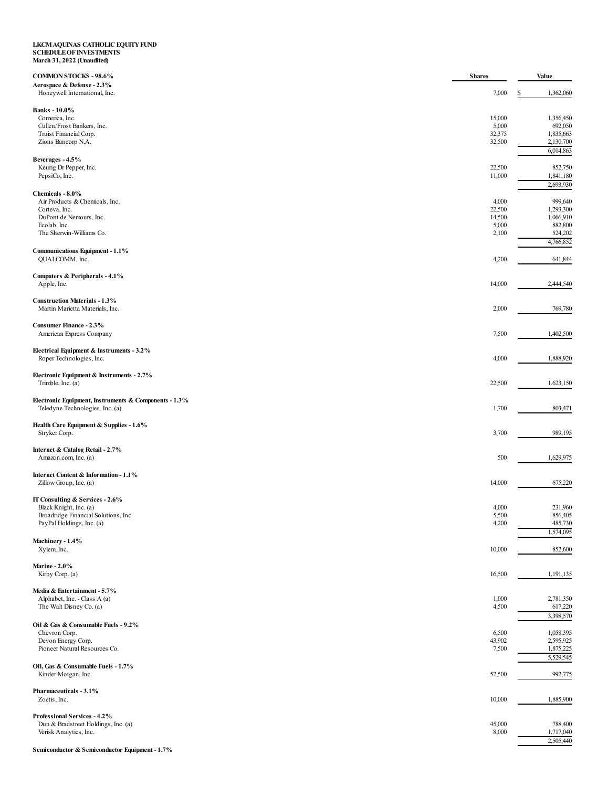## LKCM AQUINAS CATHOLIC EQUITY FUND<br>SCHEDULE OF INVESTMENTS<br>March 31, 2022 (Unaudited)

| <b>COMMON STOCKS - 98.6%</b>                                                             |                 | Value                  |
|------------------------------------------------------------------------------------------|-----------------|------------------------|
| Aerospace & Defense - 2.3%<br>Honeywell International, Inc.                              | 7,000           | 1,362,060<br>S         |
| <b>Banks</b> - 10.0%                                                                     |                 |                        |
| Comerica, Inc.                                                                           | 15,000          | 1,356,450              |
| Cullen/Frost Bankers, Inc.<br>Truist Financial Corp.                                     | 5,000<br>32,375 | 692,050<br>1,835,663   |
| Zions Bancorp N.A.                                                                       | 32,500          | 2,130,700              |
|                                                                                          |                 | 6,014,863              |
| Beverages - 4.5%<br>Keurig Dr Pepper, Inc.                                               | 22,500          | 852,750                |
| PepsiCo, Inc.                                                                            | 11,000          | 1,841,180              |
| Chemicals - 8.0%                                                                         |                 | 2,693,930              |
| Air Products & Chemicals, Inc.                                                           | 4,000           | 999,640                |
| Corteva, Inc.                                                                            | 22,500          | 1,293,300              |
| DuPont de Nemours, Inc.<br>Ecolab, Inc.                                                  | 14,500<br>5,000 | 1,066,910<br>882,800   |
| The Sherwin-Williams Co.                                                                 | 2,100           | 524,202                |
|                                                                                          |                 | 4,766,852              |
| Communications Equipment - 1.1%<br>QUALCOMM, Inc.                                        | 4,200           | 641,844                |
| Computers & Peripherals - 4.1%                                                           |                 |                        |
| Apple, Inc.                                                                              | 14,000          | 2,444,540              |
| <b>Construction Materials - 1.3%</b>                                                     |                 |                        |
| Martin Marietta Materials, Inc.                                                          | 2,000           | 769,780                |
| Consumer Finance - 2.3%                                                                  |                 |                        |
| American Express Company                                                                 | 7,500           | 1,402,500              |
| Electrical Equipment & Instruments - 3.2%<br>Roper Technologies, Inc.                    | 4,000           | 1,888,920              |
| Electronic Equipment & Instruments - 2.7%<br>Trimble, Inc. (a)                           | 22,500          | 1,623,150              |
| Electronic Equipment, Instruments & Components - 1.3%<br>Teledyne Technologies, Inc. (a) | 1,700           | 803,471                |
| Health Care Equipment & Supplies - 1.6%<br>Stryker Corp.                                 | 3,700           | 989,195                |
| Internet & Catalog Retail - 2.7%<br>Amazon.com, Inc. (a)                                 | 500             | 1,629,975              |
| Internet Content & Information - 1.1%<br>Zillow Group, Inc. (a)                          | 14,000          | 675,220                |
| IT Consulting & Services - 2.6%                                                          |                 |                        |
| Black Knight, Inc. (a)                                                                   | 4,000           | 231,960                |
| Broadridge Financial Solutions, Inc.<br>PayPal Holdings, Inc. (a)                        | 5,500<br>4,200  | 856,405<br>485,730     |
|                                                                                          |                 | 1,574,095              |
| Machinery - 1.4%<br>Xylem, Inc.                                                          | 10,000          | 852,600                |
| <b>Marine - 2.0%</b>                                                                     |                 |                        |
| Kirby Corp. (a)                                                                          | 16,500          | 1,191,135              |
| Media & Entertainment - 5.7%                                                             |                 |                        |
| Alphabet, Inc. - Class A (a)                                                             | 1,000           | 2,781,350              |
| The Walt Disney Co. (a)                                                                  | 4,500           | 617,220                |
| Oil & Gas & Consumable Fuels - 9.2%                                                      |                 | 3,398,570              |
| Chevron Corp.                                                                            | 6,500           | 1,058,395              |
| Devon Energy Corp.                                                                       | 43,902          | 2,595,925              |
| Pioneer Natural Resources Co.                                                            | 7,500           | 1,875,225              |
| Oil, Gas & Consumable Fuels - 1.7%                                                       |                 | 5,529,545              |
| Kinder Morgan, Inc.                                                                      | 52,500          | 992,775                |
| Pharmaceuticals - 3.1%<br>Zoetis, Inc.                                                   | 10,000          | 1,885,900              |
| Professional Services - 4.2%                                                             |                 |                        |
| Dun & Bradstreet Holdings, Inc. (a)                                                      | 45,000          | 788,400                |
| Verisk Analytics, Inc.                                                                   | 8,000           | 1,717,040<br>2,505,440 |
|                                                                                          |                 |                        |

Semiconductor & Semiconductor Equipment - 1.7%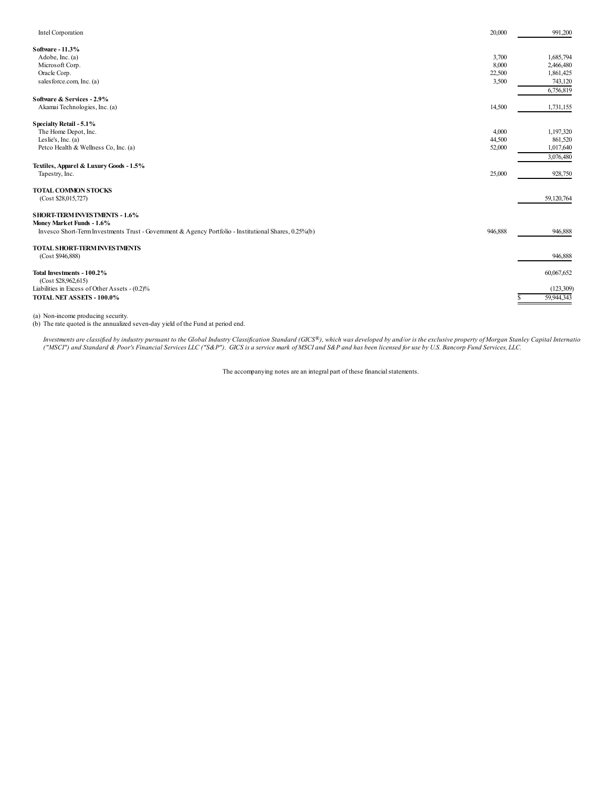| Intel Corporation                                                                                                                                                          | 20,000                            | 991,200                                                     |
|----------------------------------------------------------------------------------------------------------------------------------------------------------------------------|-----------------------------------|-------------------------------------------------------------|
| Software - 11.3%<br>Adobe, Inc. (a)<br>Microsoft Corp.<br>Oracle Corp.<br>sales force.com, Inc. (a)                                                                        | 3,700<br>8,000<br>22,500<br>3,500 | 1,685,794<br>2,466,480<br>1,861,425<br>743,120<br>6,756,819 |
| Software & Services - 2.9%<br>Akamai Technologies, Inc. (a)                                                                                                                | 14,500                            | 1,731,155                                                   |
| Specialty Retail - 5.1%<br>The Home Depot, Inc.<br>Leslie's, Inc. $(a)$<br>Petco Health & Wellness Co, Inc. (a)                                                            | 4,000<br>44,500<br>52,000         | 1,197,320<br>861,520<br>1,017,640<br>3,076,480              |
| Textiles, Apparel & Luxury Goods - 1.5%<br>Tapestry, Inc.                                                                                                                  | 25,000                            | 928,750                                                     |
| <b>TOTAL COMMON STOCKS</b><br>(Cost \$28,015,727)                                                                                                                          |                                   | 59,120,764                                                  |
| <b>SHORT-TERM INVESTMENTS - 1.6%</b><br>Money Market Funds - 1.6%<br>Invesco Short-Term Investments Trust - Government & Agency Portfolio - Institutional Shares, 0.25%(b) | 946,888                           | 946,888                                                     |
| TOTAL SHORT-TERM INVESTMENTS<br>(Cost \$946,888)                                                                                                                           |                                   | 946,888                                                     |
| Total Investments - 100.2%<br>(Cost \$28,962,615)<br>Liabilities in Excess of Other Assets - (0.2)%<br>TOTAL NET ASSETS - 100.0%                                           |                                   | 60,067,652<br>(123,309)<br>59,944,343                       |
|                                                                                                                                                                            |                                   |                                                             |

(a) Non-income producing security. (b) The rate quoted is the annualized seven-day yield of the Fund at period end.

Investments are classified by industry pursuant to the Global Industry Classification Standard (GICS®), which was developed by and/or is the exclusive property of Morgan Stanley Capital Internatio ("MSCI") and Standard & Poor's Financial Services LLC ("S&P"). GICS is a service mark of MSCI and S&P and has been licensed for use by U.S. Bancorp Fund Services, LLC.

The accompanying notes are an integral part of these financial statements.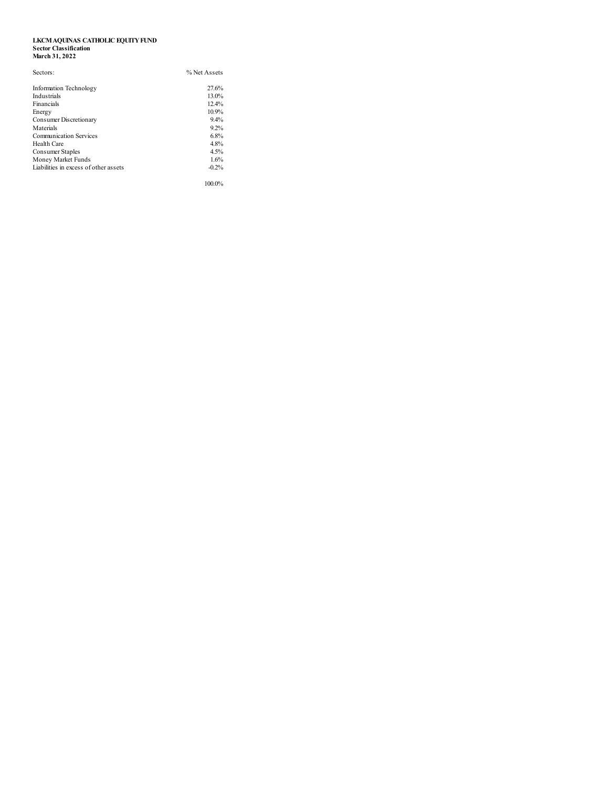## **LKCMAQUINAS CATHOLIC EQUITYFUND Sector Classification March 31, 2022**

| Sectors:                              | % Net Assets |  |
|---------------------------------------|--------------|--|
| Information Technology                | 27.6%        |  |
| Industrials                           | 13.0%        |  |
| Financials                            | 12.4%        |  |
| Energy                                | 10.9%        |  |
| Consumer Discretionary                | 9.4%         |  |
| Materials                             | 9.2%         |  |
| Communication Services                | 6.8%         |  |
| Health Care                           | 4.8%         |  |
| Consumer Staples                      | 4.5%         |  |
| Money Market Funds                    | 1.6%         |  |
| Liabilities in excess of other assets | $-0.2%$      |  |
|                                       | 100.0%       |  |